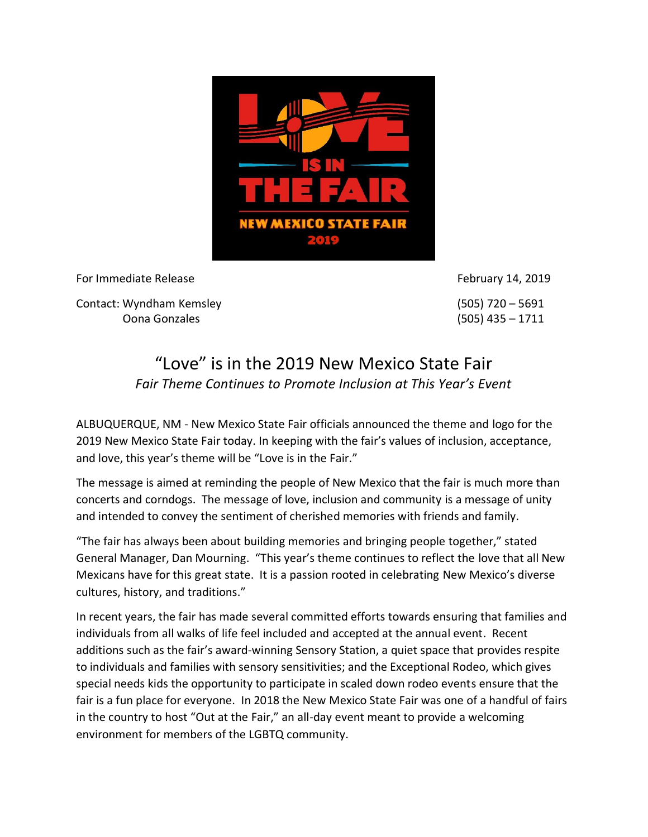

For Immediate Release For Immediate Release February 14, 2019

Contact: Wyndham Kemsley (505) 720 – 5691 Oona Gonzales (505) 435 – 1711

## "Love" is in the 2019 New Mexico State Fair *Fair Theme Continues to Promote Inclusion at This Year's Event*

ALBUQUERQUE, NM - New Mexico State Fair officials announced the theme and logo for the 2019 New Mexico State Fair today. In keeping with the fair's values of inclusion, acceptance, and love, this year's theme will be "Love is in the Fair."

The message is aimed at reminding the people of New Mexico that the fair is much more than concerts and corndogs. The message of love, inclusion and community is a message of unity and intended to convey the sentiment of cherished memories with friends and family.

"The fair has always been about building memories and bringing people together," stated General Manager, Dan Mourning. "This year's theme continues to reflect the love that all New Mexicans have for this great state. It is a passion rooted in celebrating New Mexico's diverse cultures, history, and traditions."

In recent years, the fair has made several committed efforts towards ensuring that families and individuals from all walks of life feel included and accepted at the annual event. Recent additions such as the fair's award-winning Sensory Station, a quiet space that provides respite to individuals and families with sensory sensitivities; and the Exceptional Rodeo, which gives special needs kids the opportunity to participate in scaled down rodeo events ensure that the fair is a fun place for everyone. In 2018 the New Mexico State Fair was one of a handful of fairs in the country to host "Out at the Fair," an all-day event meant to provide a welcoming environment for members of the LGBTQ community.